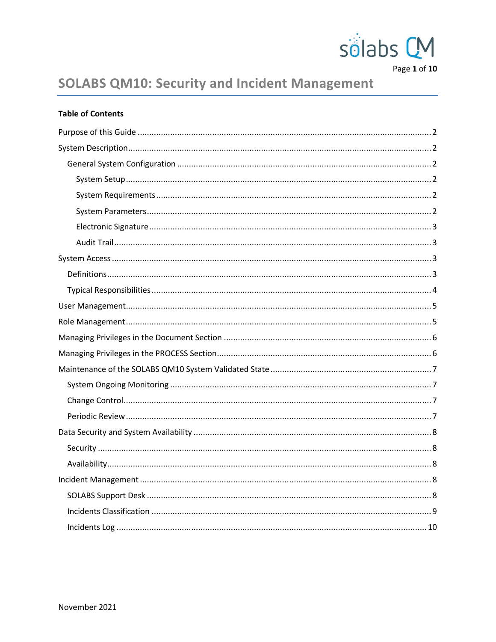

Page 1 of 10

# **SOLABS QM10: Security and Incident Management**

|  | <b>Table of Contents</b> |
|--|--------------------------|
|  |                          |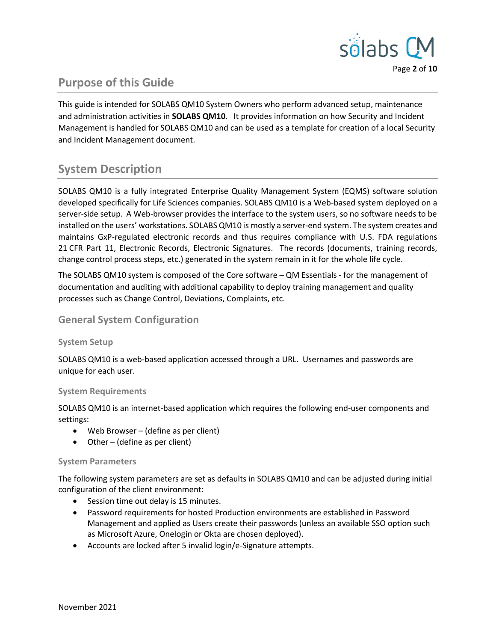

# <span id="page-1-5"></span>**Purpose of this Guide**

This guide is intended for SOLABS QM10 System Owners who perform advanced setup, maintenance and administration activities in **SOLABS QM10**. It provides information on how Security and Incident Management is handled for SOLABS QM10 and can be used as a template for creation of a local Security and Incident Management document.

# <span id="page-1-4"></span>**System Description**

SOLABS QM10 is a fully integrated Enterprise Quality Management System (EQMS) software solution developed specifically for Life Sciences companies. SOLABS QM10 is a Web-based system deployed on a server-side setup. A Web-browser provides the interface to the system users, so no software needs to be installed on the users' workstations. SOLABS QM10 is mostly a server-end system. The system creates and maintains GxP-regulated electronic records and thus requires compliance with U.S. FDA regulations 21 CFR Part 11, Electronic Records, Electronic Signatures. The records (documents, training records, change control process steps, etc.) generated in the system remain in it for the whole life cycle.

The SOLABS QM10 system is composed of the Core software – QM Essentials - for the management of documentation and auditing with additional capability to deploy training management and quality processes such as Change Control, Deviations, Complaints, etc.

#### <span id="page-1-3"></span>**General System Configuration**

#### <span id="page-1-2"></span>**System Setup**

SOLABS QM10 is a web-based application accessed through a URL. Usernames and passwords are unique for each user.

#### <span id="page-1-1"></span>**System Requirements**

SOLABS QM10 is an internet-based application which requires the following end-user components and settings:

- Web Browser (define as per client)
- Other (define as per client)

#### <span id="page-1-0"></span>**System Parameters**

The following system parameters are set as defaults in SOLABS QM10 and can be adjusted during initial configuration of the client environment:

- Session time out delay is 15 minutes.
- Password requirements for hosted Production environments are established in Password Management and applied as Users create their passwords (unless an available SSO option such as Microsoft Azure, Onelogin or Okta are chosen deployed).
- Accounts are locked after 5 invalid login/e-Signature attempts.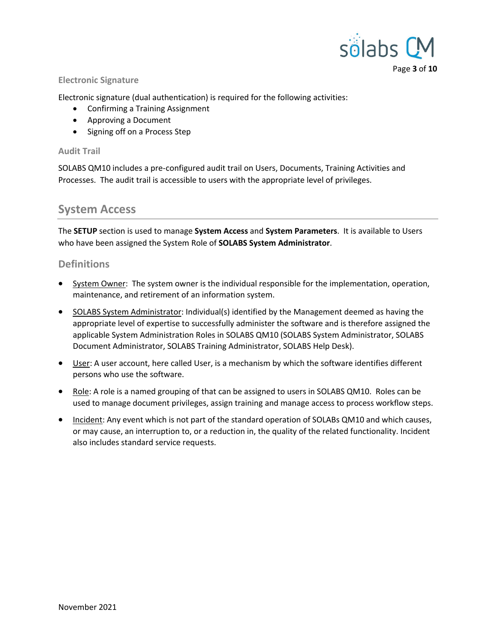

#### <span id="page-2-3"></span>**Electronic Signature**

Electronic signature (dual authentication) is required for the following activities:

- Confirming a Training Assignment
- Approving a Document
- Signing off on a Process Step

#### <span id="page-2-2"></span>**Audit Trail**

SOLABS QM10 includes a pre-configured audit trail on Users, Documents, Training Activities and Processes. The audit trail is accessible to users with the appropriate level of privileges.

### <span id="page-2-1"></span>**System Access**

The **SETUP** section is used to manage **System Access** and **System Parameters**. It is available to Users who have been assigned the System Role of **SOLABS System Administrator**.

#### <span id="page-2-0"></span>**Definitions**

- System Owner: The system owner is the individual responsible for the implementation, operation, maintenance, and retirement of an information system.
- SOLABS System Administrator: Individual(s) identified by the Management deemed as having the appropriate level of expertise to successfully administer the software and is therefore assigned the applicable System Administration Roles in SOLABS QM10 (SOLABS System Administrator, SOLABS Document Administrator, SOLABS Training Administrator, SOLABS Help Desk).
- User: A user account, here called User, is a mechanism by which the software identifies different persons who use the software.
- Role: A role is a named grouping of that can be assigned to users in SOLABS QM10. Roles can be used to manage document privileges, assign training and manage access to process workflow steps.
- Incident: Any event which is not part of the standard operation of SOLABs QM10 and which causes, or may cause, an interruption to, or a reduction in, the quality of the related functionality. Incident also includes standard service requests.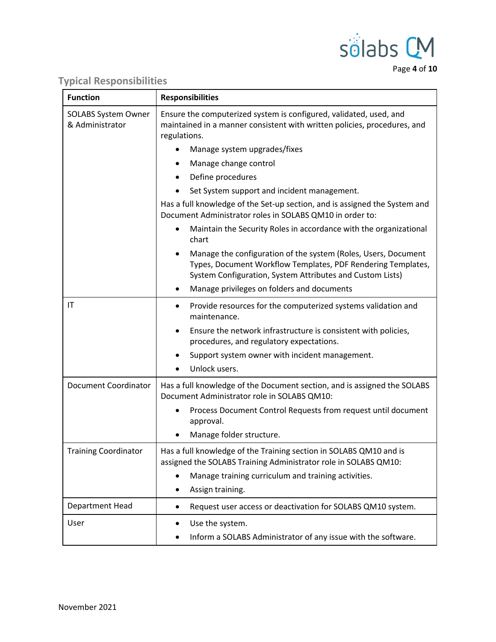

Page **4** of **10**

# <span id="page-3-0"></span>**Typical Responsibilities**

| <b>Function</b>                        | <b>Responsibilities</b>                                                                                                                                                                     |  |  |  |
|----------------------------------------|---------------------------------------------------------------------------------------------------------------------------------------------------------------------------------------------|--|--|--|
| SOLABS System Owner<br>& Administrator | Ensure the computerized system is configured, validated, used, and<br>maintained in a manner consistent with written policies, procedures, and<br>regulations.                              |  |  |  |
|                                        | Manage system upgrades/fixes                                                                                                                                                                |  |  |  |
|                                        | Manage change control                                                                                                                                                                       |  |  |  |
|                                        | Define procedures<br>$\bullet$                                                                                                                                                              |  |  |  |
|                                        | Set System support and incident management.                                                                                                                                                 |  |  |  |
|                                        | Has a full knowledge of the Set-up section, and is assigned the System and<br>Document Administrator roles in SOLABS QM10 in order to:                                                      |  |  |  |
|                                        | Maintain the Security Roles in accordance with the organizational<br>٠<br>chart                                                                                                             |  |  |  |
|                                        | Manage the configuration of the system (Roles, Users, Document<br>Types, Document Workflow Templates, PDF Rendering Templates,<br>System Configuration, System Attributes and Custom Lists) |  |  |  |
|                                        | Manage privileges on folders and documents<br>٠                                                                                                                                             |  |  |  |
| IT                                     | Provide resources for the computerized systems validation and<br>٠<br>maintenance.                                                                                                          |  |  |  |
|                                        | Ensure the network infrastructure is consistent with policies,<br>procedures, and regulatory expectations.                                                                                  |  |  |  |
|                                        | Support system owner with incident management.                                                                                                                                              |  |  |  |
|                                        | Unlock users.                                                                                                                                                                               |  |  |  |
| <b>Document Coordinator</b>            | Has a full knowledge of the Document section, and is assigned the SOLABS<br>Document Administrator role in SOLABS QM10:                                                                     |  |  |  |
|                                        | Process Document Control Requests from request until document<br>approval.                                                                                                                  |  |  |  |
|                                        | Manage folder structure.<br>٠                                                                                                                                                               |  |  |  |
| <b>Training Coordinator</b>            | Has a full knowledge of the Training section in SOLABS QM10 and is<br>assigned the SOLABS Training Administrator role in SOLABS QM10:                                                       |  |  |  |
|                                        | Manage training curriculum and training activities.                                                                                                                                         |  |  |  |
|                                        | Assign training.                                                                                                                                                                            |  |  |  |
| Department Head                        | Request user access or deactivation for SOLABS QM10 system.<br>٠                                                                                                                            |  |  |  |
| User                                   | Use the system.                                                                                                                                                                             |  |  |  |
|                                        | Inform a SOLABS Administrator of any issue with the software.                                                                                                                               |  |  |  |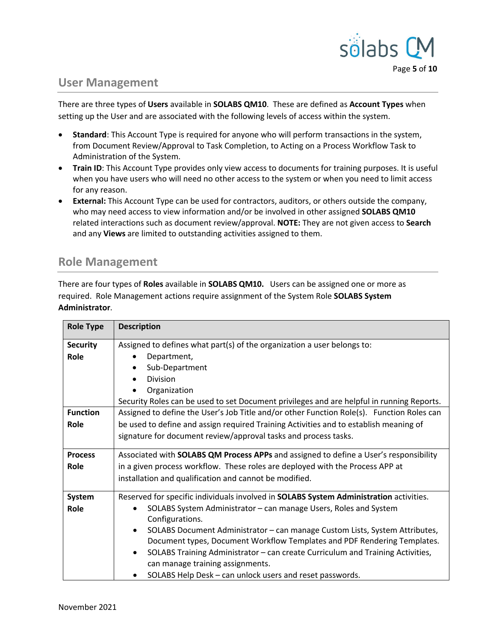

## <span id="page-4-1"></span>**User Management**

There are three types of **Users** available in **SOLABS QM10**. These are defined as **Account Types** when setting up the User and are associated with the following levels of access within the system.

- **Standard**: This Account Type is required for anyone who will perform transactions in the system, from Document Review/Approval to Task Completion, to Acting on a Process Workflow Task to Administration of the System.
- **Train ID**: This Account Type provides only view access to documents for training purposes. It is useful when you have users who will need no other access to the system or when you need to limit access for any reason.
- **External:** This Account Type can be used for contractors, auditors, or others outside the company, who may need access to view information and/or be involved in other assigned **SOLABS QM10** related interactions such as document review/approval. **NOTE:** They are not given access to **Search**  and any **Views** are limited to outstanding activities assigned to them.

## <span id="page-4-0"></span>**Role Management**

There are four types of **Roles** available in **SOLABS QM10.** Users can be assigned one or more as required. Role Management actions require assignment of the System Role **SOLABS System Administrator**.

| <b>Role Type</b>        | <b>Description</b>                                                                          |  |  |  |
|-------------------------|---------------------------------------------------------------------------------------------|--|--|--|
| <b>Security</b><br>Role | Assigned to defines what part(s) of the organization a user belongs to:<br>Department,      |  |  |  |
|                         | Sub-Department                                                                              |  |  |  |
|                         | Division                                                                                    |  |  |  |
|                         | Organization                                                                                |  |  |  |
|                         | Security Roles can be used to set Document privileges and are helpful in running Reports.   |  |  |  |
| <b>Function</b>         | Assigned to define the User's Job Title and/or other Function Role(s). Function Roles can   |  |  |  |
| Role                    | be used to define and assign required Training Activities and to establish meaning of       |  |  |  |
|                         | signature for document review/approval tasks and process tasks.                             |  |  |  |
| <b>Process</b>          | Associated with SOLABS QM Process APPs and assigned to define a User's responsibility       |  |  |  |
| Role                    | in a given process workflow. These roles are deployed with the Process APP at               |  |  |  |
|                         | installation and qualification and cannot be modified.                                      |  |  |  |
| System                  | Reserved for specific individuals involved in SOLABS System Administration activities.      |  |  |  |
| Role                    | SOLABS System Administrator - can manage Users, Roles and System                            |  |  |  |
|                         | Configurations.                                                                             |  |  |  |
|                         | SOLABS Document Administrator - can manage Custom Lists, System Attributes,<br>$\bullet$    |  |  |  |
|                         | Document types, Document Workflow Templates and PDF Rendering Templates.                    |  |  |  |
|                         | SOLABS Training Administrator - can create Curriculum and Training Activities,<br>$\bullet$ |  |  |  |
|                         | can manage training assignments.                                                            |  |  |  |
|                         | SOLABS Help Desk - can unlock users and reset passwords.                                    |  |  |  |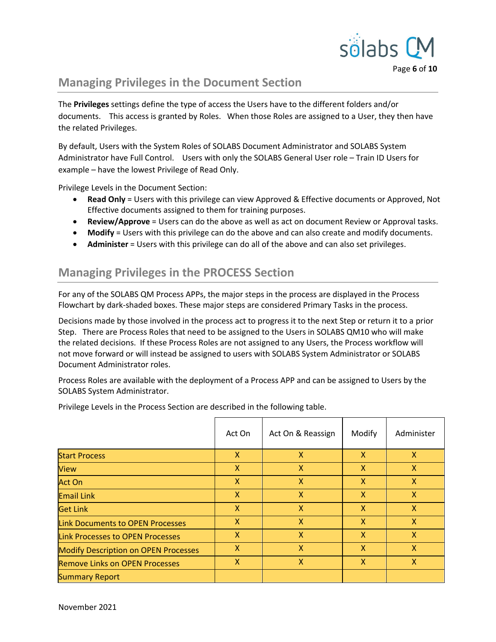

Page **6** of **10**

# <span id="page-5-1"></span>**Managing Privileges in the Document Section**

The **Privileges** settings define the type of access the Users have to the different folders and/or documents. This access is granted by Roles. When those Roles are assigned to a User, they then have the related Privileges.

By default, Users with the System Roles of SOLABS Document Administrator and SOLABS System Administrator have Full Control. Users with only the SOLABS General User role – Train ID Users for example – have the lowest Privilege of Read Only.

Privilege Levels in the Document Section:

- **Read Only** = Users with this privilege can view Approved & Effective documents or Approved, Not Effective documents assigned to them for training purposes.
- **Review/Approve** = Users can do the above as well as act on document Review or Approval tasks.
- **Modify** = Users with this privilege can do the above and can also create and modify documents.
- **Administer** = Users with this privilege can do all of the above and can also set privileges.

# <span id="page-5-0"></span>**Managing Privileges in the PROCESS Section**

For any of the SOLABS QM Process APPs, the major steps in the process are displayed in the Process Flowchart by dark-shaded boxes. These major steps are considered Primary Tasks in the process.

Decisions made by those involved in the process act to progress it to the next Step or return it to a prior Step. There are Process Roles that need to be assigned to the Users in SOLABS QM10 who will make the related decisions. If these Process Roles are not assigned to any Users, the Process workflow will not move forward or will instead be assigned to users with SOLABS System Administrator or SOLABS Document Administrator roles.

Process Roles are available with the deployment of a Process APP and can be assigned to Users by the SOLABS System Administrator.

Privilege Levels in the Process Section are described in the following table.

|                                             | Act On       | Act On & Reassign | Modify       | Administer   |
|---------------------------------------------|--------------|-------------------|--------------|--------------|
| <b>Start Process</b>                        | $\mathsf{X}$ | X                 | $\mathsf{x}$ | $\mathsf{X}$ |
| <b>View</b>                                 | X            | X                 | $\mathsf{x}$ | $\mathsf{X}$ |
| <b>Act On</b>                               | $\mathsf{X}$ | X                 | $\mathsf{x}$ | $\mathsf{X}$ |
| <b>Email Link</b>                           | $\mathsf{X}$ | X                 | $\mathsf{x}$ | $\mathsf{X}$ |
| <b>Get Link</b>                             | $\mathsf{X}$ | X                 | X            | $\mathsf{x}$ |
| <b>Link Documents to OPEN Processes</b>     | X            | X                 | X            | $\mathsf{x}$ |
| Link Processes to OPEN Processes            | X            | X                 | X            | $\mathsf{x}$ |
| <b>Modify Description on OPEN Processes</b> | X            | X                 | X            | $\mathsf{x}$ |
| <b>Remove Links on OPEN Processes</b>       | X            | X                 | X            | X            |
| <b>Summary Report</b>                       |              |                   |              |              |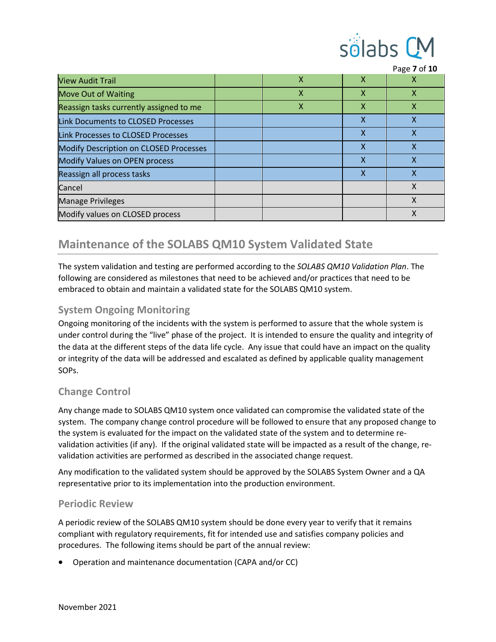

|                                               |              |   | Page 7 of 10 |
|-----------------------------------------------|--------------|---|--------------|
| <b>View Audit Trail</b>                       | $\mathsf{x}$ | X | х            |
| <b>Move Out of Waiting</b>                    | X            | X | X            |
| Reassign tasks currently assigned to me       | x            | x | х            |
| <b>Link Documents to CLOSED Processes</b>     |              | X | χ            |
| Link Processes to CLOSED Processes            |              | X | Χ            |
| <b>Modify Description on CLOSED Processes</b> |              | X | Χ            |
| Modify Values on OPEN process                 |              | X | Χ            |
| Reassign all process tasks                    |              | X | χ            |
| Cancel                                        |              |   | X            |
| <b>Manage Privileges</b>                      |              |   | Χ            |
| Modify values on CLOSED process               |              |   | Χ            |

# <span id="page-6-3"></span>**Maintenance of the SOLABS QM10 System Validated State**

The system validation and testing are performed according to the *SOLABS QM10 Validation Plan*. The following are considered as milestones that need to be achieved and/or practices that need to be embraced to obtain and maintain a validated state for the SOLABS QM10 system.

### <span id="page-6-2"></span>**System Ongoing Monitoring**

Ongoing monitoring of the incidents with the system is performed to assure that the whole system is under control during the "live" phase of the project. It is intended to ensure the quality and integrity of the data at the different steps of the data life cycle. Any issue that could have an impact on the quality or integrity of the data will be addressed and escalated as defined by applicable quality management SOPs.

### <span id="page-6-1"></span>**Change Control**

Any change made to SOLABS QM10 system once validated can compromise the validated state of the system. The company change control procedure will be followed to ensure that any proposed change to the system is evaluated for the impact on the validated state of the system and to determine revalidation activities (if any). If the original validated state will be impacted as a result of the change, revalidation activities are performed as described in the associated change request.

Any modification to the validated system should be approved by the SOLABS System Owner and a QA representative prior to its implementation into the production environment.

#### <span id="page-6-0"></span>**Periodic Review**

A periodic review of the SOLABS QM10 system should be done every year to verify that it remains compliant with regulatory requirements, fit for intended use and satisfies company policies and procedures. The following items should be part of the annual review:

Operation and maintenance documentation (CAPA and/or CC)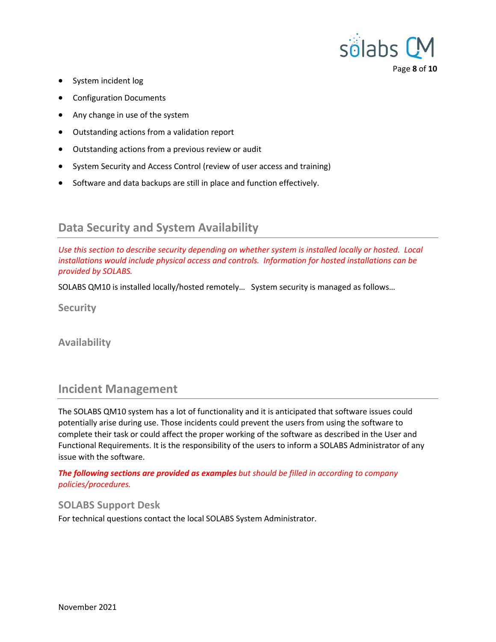

- System incident log
- Configuration Documents
- Any change in use of the system
- Outstanding actions from a validation report
- Outstanding actions from a previous review or audit
- System Security and Access Control (review of user access and training)
- Software and data backups are still in place and function effectively.

# <span id="page-7-4"></span>**Data Security and System Availability**

*Use this section to describe security depending on whether system is installed locally or hosted. Local installations would include physical access and controls. Information for hosted installations can be provided by SOLABS.*

SOLABS QM10 is installed locally/hosted remotely… System security is managed as follows…

<span id="page-7-3"></span>**Security**

<span id="page-7-2"></span>**Availability**

### <span id="page-7-1"></span>**Incident Management**

The SOLABS QM10 system has a lot of functionality and it is anticipated that software issues could potentially arise during use. Those incidents could prevent the users from using the software to complete their task or could affect the proper working of the software as described in the User and Functional Requirements. It is the responsibility of the users to inform a SOLABS Administrator of any issue with the software.

*The following sections are provided as examples but should be filled in according to company policies/procedures.*

#### <span id="page-7-0"></span>**SOLABS Support Desk**

For technical questions contact the local SOLABS System Administrator.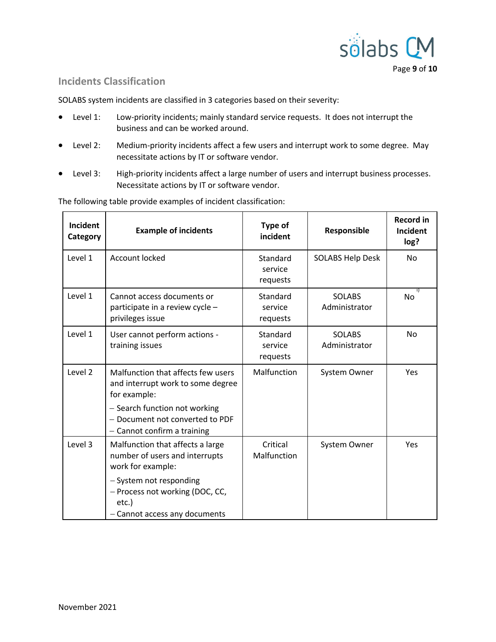

### <span id="page-8-0"></span>**Incidents Classification**

SOLABS system incidents are classified in 3 categories based on their severity:

- Level 1: Low-priority incidents; mainly standard service requests. It does not interrupt the business and can be worked around.
- Level 2: Medium-priority incidents affect a few users and interrupt work to some degree. May necessitate actions by IT or software vendor.
- Level 3: High-priority incidents affect a large number of users and interrupt business processes. Necessitate actions by IT or software vendor.

| Incident<br>Category | <b>Example of incidents</b>                                                                                                                                                                | Type of<br>incident             | Responsible                    | <b>Record in</b><br>Incident<br>log? |
|----------------------|--------------------------------------------------------------------------------------------------------------------------------------------------------------------------------------------|---------------------------------|--------------------------------|--------------------------------------|
| Level 1              | Account locked                                                                                                                                                                             | Standard<br>service<br>requests | <b>SOLABS Help Desk</b>        | No                                   |
| Level 1              | Cannot access documents or<br>participate in a review cycle -<br>privileges issue                                                                                                          | Standard<br>service<br>requests | <b>SOLABS</b><br>Administrator | No                                   |
| Level 1              | User cannot perform actions -<br>training issues                                                                                                                                           | Standard<br>service<br>requests | <b>SOLABS</b><br>Administrator | <b>No</b>                            |
| Level 2              | Malfunction that affects few users<br>and interrupt work to some degree<br>for example:<br>- Search function not working<br>- Document not converted to PDF<br>- Cannot confirm a training | Malfunction                     | System Owner                   | Yes                                  |
| Level 3              | Malfunction that affects a large<br>number of users and interrupts<br>work for example:<br>- System not responding<br>- Process not working (DOC, CC,<br>etc.)                             | Critical<br>Malfunction         | System Owner                   | Yes                                  |
|                      | - Cannot access any documents                                                                                                                                                              |                                 |                                |                                      |

The following table provide examples of incident classification: